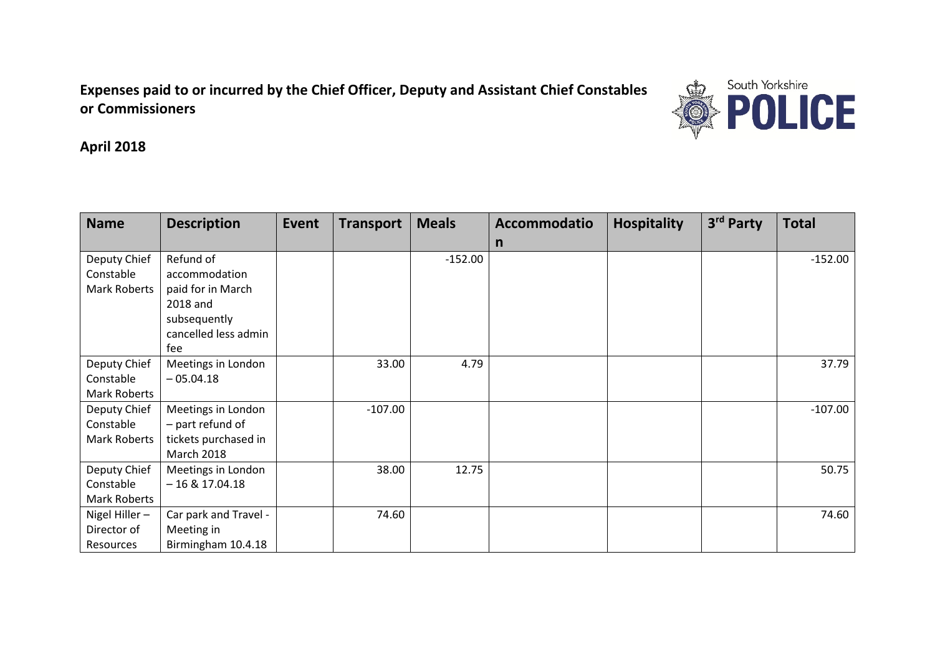**Expenses paid to or incurred by the Chief Officer, Deputy and Assistant Chief Constables or Commissioners** 



**April 2018**

| <b>Name</b>         | <b>Description</b>    | <b>Event</b> | <b>Transport</b> | <b>Meals</b> | Accommodatio | <b>Hospitality</b> | 3rd Party | <b>Total</b> |
|---------------------|-----------------------|--------------|------------------|--------------|--------------|--------------------|-----------|--------------|
|                     |                       |              |                  |              | $\mathsf{n}$ |                    |           |              |
| Deputy Chief        | Refund of             |              |                  | $-152.00$    |              |                    |           | $-152.00$    |
| Constable           | accommodation         |              |                  |              |              |                    |           |              |
| <b>Mark Roberts</b> | paid for in March     |              |                  |              |              |                    |           |              |
|                     | 2018 and              |              |                  |              |              |                    |           |              |
|                     | subsequently          |              |                  |              |              |                    |           |              |
|                     | cancelled less admin  |              |                  |              |              |                    |           |              |
|                     | fee                   |              |                  |              |              |                    |           |              |
| Deputy Chief        | Meetings in London    |              | 33.00            | 4.79         |              |                    |           | 37.79        |
| Constable           | $-05.04.18$           |              |                  |              |              |                    |           |              |
| <b>Mark Roberts</b> |                       |              |                  |              |              |                    |           |              |
| Deputy Chief        | Meetings in London    |              | $-107.00$        |              |              |                    |           | $-107.00$    |
| Constable           | - part refund of      |              |                  |              |              |                    |           |              |
| <b>Mark Roberts</b> | tickets purchased in  |              |                  |              |              |                    |           |              |
|                     | <b>March 2018</b>     |              |                  |              |              |                    |           |              |
| Deputy Chief        | Meetings in London    |              | 38.00            | 12.75        |              |                    |           | 50.75        |
| Constable           | $-16$ & 17.04.18      |              |                  |              |              |                    |           |              |
| <b>Mark Roberts</b> |                       |              |                  |              |              |                    |           |              |
| Nigel Hiller-       | Car park and Travel - |              | 74.60            |              |              |                    |           | 74.60        |
| Director of         | Meeting in            |              |                  |              |              |                    |           |              |
| Resources           | Birmingham 10.4.18    |              |                  |              |              |                    |           |              |